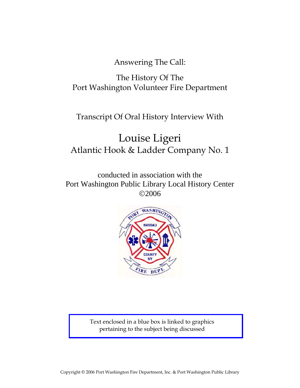Answering The Call:

## The History Of The Port Washington Volunteer Fire Department

### Transcript Of Oral History Interview With

## Louise Ligeri Atlantic Hook & Ladder Company No. 1

conducted in association with the Port Washington Public Library Local History Center ©2006



Text enclosed in a blue box is linked to graphics pertaining to the subject being discussed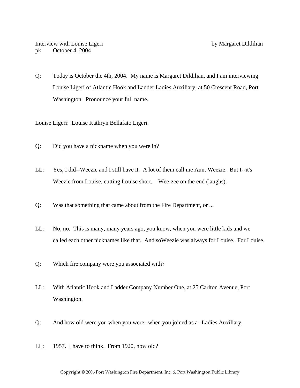Q: Today is October the 4th, 2004. My name is Margaret Dildilian, and I am interviewing Louise Ligeri of Atlantic Hook and Ladder Ladies Auxiliary, at 50 Crescent Road, Port Washington. Pronounce your full name.

Louise Ligeri: Louise Kathryn Bellafato Ligeri.

- Q: Did you have a nickname when you were in?
- LL: Yes, I did--Weezie and I still have it. A lot of them call me Aunt Weezie. But I--it's Weezie from Louise, cutting Louise short. Wee-zee on the end (laughs).
- Q: Was that something that came about from the Fire Department, or ...
- LL: No, no. This is many, many years ago, you know, when you were little kids and we called each other nicknames like that. And soWeezie was always for Louise. For Louise.
- Q: Which fire company were you associated with?
- LL: With Atlantic Hook and Ladder Company Number One, at 25 Carlton Avenue, Port Washington.
- Q: And how old were you when you were--when you joined as a--Ladies Auxiliary,
- LL: 1957. I have to think. From 1920, how old?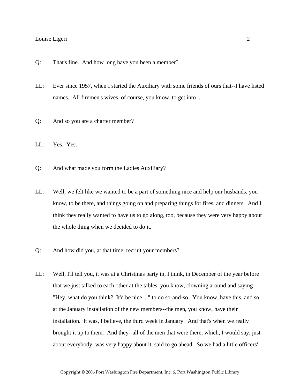- Q: That's fine. And how long have you been a member?
- LL: Ever since 1957, when I started the Auxiliary with some friends of ours that--I have listed names. All firemen's wives, of course, you know, to get into ...
- Q: And so you are a charter member?
- LL: Yes. Yes.
- Q: And what made you form the Ladies Auxiliary?
- LL: Well, we felt like we wanted to be a part of something nice and help our husbands, you know, to be there, and things going on and preparing things for fires, and dinners. And I think they really wanted to have us to go along, too, because they were very happy about the whole thing when we decided to do it.
- Q: And how did you, at that time, recruit your members?
- LL: Well, I'll tell you, it was at a Christmas party in, I think, in December of the year before that we just talked to each other at the tables, you know, clowning around and saying "Hey, what do you think? It'd be nice ..." to do so-and-so. You know, have this, and so at the January installation of the new members--the men, you know, have their installation. It was, I believe, the third week in January. And that's when we really brought it up to them. And they--all of the men that were there, which, I would say, just about everybody, was very happy about it, said to go ahead. So we had a little officers'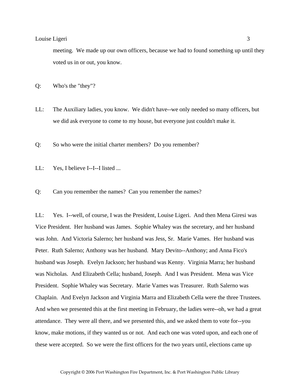meeting. We made up our own officers, because we had to found something up until they voted us in or out, you know.

Q: Who's the "they"?

- LL: The Auxiliary ladies, you know. We didn't have--we only needed so many officers, but we did ask everyone to come to my house, but everyone just couldn't make it.
- Q: So who were the initial charter members? Do you remember?
- LL: Yes, I believe I--I--I listed ...
- Q: Can you remember the names? Can you remember the names?

LL: Yes. I--well, of course, I was the President, Louise Ligeri. And then Mena Giresi was Vice President. Her husband was James. Sophie Whaley was the secretary, and her husband was John. And Victoria Salerno; her husband was Jess, Sr. Marie Vames. Her husband was Peter. Ruth Salerno; Anthony was her husband. Mary Devito--Anthony; and Anna Fico's husband was Joseph. Evelyn Jackson; her husband was Kenny. Virginia Marra; her husband was Nicholas. And Elizabeth Cella; husband, Joseph. And I was President. Mena was Vice President. Sophie Whaley was Secretary. Marie Vames was Treasurer. Ruth Salerno was Chaplain. And Evelyn Jackson and Virginia Marra and Elizabeth Cella were the three Trustees. And when we presented this at the first meeting in February, the ladies were--oh, we had a great attendance. They were all there, and we presented this, and we asked them to vote for--you know, make motions, if they wanted us or not. And each one was voted upon, and each one of these were accepted. So we were the first officers for the two years until, elections came up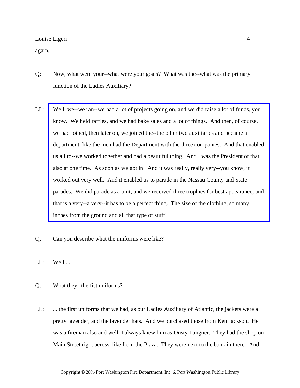again.

- Q: Now, what were your--what were your goals? What was the--what was the primary function of the Ladies Auxiliary?
- LL: [Well, we--we ran--we had a lot of projects going on, and we did raise a lot of funds, you](http://www.pwfdhistory.com/trans/ligeril_trans/pwfd_aux001_web.jpg)  know. We held raffles, and we had bake sales and a lot of things. And then, of course, we had joined, then later on, we joined the--the other two auxiliaries and became a department, like the men had the Department with the three companies. And that enabled us all to--we worked together and had a beautiful thing. And I was the President of that also at one time. As soon as we got in. And it was really, really very--you know, it worked out very well. And it enabled us to parade in the Nassau County and State parades. We did parade as a unit, and we received three trophies for best appearance, and that is a very--a very--it has to be a perfect thing. The size of the clothing, so many inches from the ground and all that type of stuff.
- Q: Can you describe what the uniforms were like?
- $LL:$  Well ...
- Q: What they--the fist uniforms?
- LL: ... the first uniforms that we had, as our Ladies Auxiliary of Atlantic, the jackets were a pretty lavender, and the lavender hats. And we purchased those from Ken Jackson. He was a fireman also and well, I always knew him as Dusty Langner. They had the shop on Main Street right across, like from the Plaza. They were next to the bank in there. And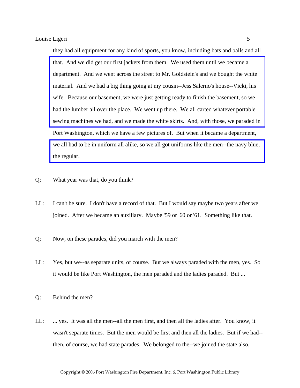they had all equipment for any kind of sports, you know, including bats and balls and all that. And we did get our first jackets from them. We used them until we became a department. And we went across the street to Mr. Goldstein's and we bought the white material. And we had a big thing going at my cousin--Jess Salerno's house--Vicki, his wife. Because our basement, we were just getting ready to finish the basement, so we had the lumber all over the place. We went up there. We all carted whatever portable [sewing machines we had, and we made the white skirts. And, with those, we paraded in](http://www.pwfdhistory.com/trans/ligeril_trans/peco_parades002_web.jpg)  Port Washington, which we have a few pictures of. But when it became a department, [we all had to be in uniform all alike, so we all got uniforms like the men--the navy blue,](http://www.pwfdhistory.com/trans/ligeril_trans/peco_parades011_web.jpg)  the regular.

- Q: What year was that, do you think?
- LL: I can't be sure. I don't have a record of that. But I would say maybe two years after we joined. After we became an auxiliary. Maybe '59 or '60 or '61. Something like that.
- Q: Now, on these parades, did you march with the men?
- LL: Yes, but we--as separate units, of course. But we always paraded with the men, yes. So it would be like Port Washington, the men paraded and the ladies paraded. But ...
- Q: Behind the men?
- LL: ... yes. It was all the men--all the men first, and then all the ladies after. You know, it wasn't separate times. But the men would be first and then all the ladies. But if we had- then, of course, we had state parades. We belonged to the--we joined the state also,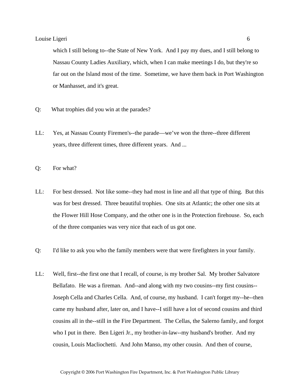which I still belong to--the State of New York. And I pay my dues, and I still belong to Nassau County Ladies Auxiliary, which, when I can make meetings I do, but they're so far out on the Island most of the time. Sometime, we have them back in Port Washington or Manhasset, and it's great.

- Q: What trophies did you win at the parades?
- LL: Yes, at Nassau County Firemen's--the parade—we've won the three--three different years, three different times, three different years. And ...
- Q: For what?
- LL: For best dressed. Not like some--they had most in line and all that type of thing. But this was for best dressed. Three beautiful trophies. One sits at Atlantic; the other one sits at the Flower Hill Hose Company, and the other one is in the Protection firehouse. So, each of the three companies was very nice that each of us got one.
- Q: I'd like to ask you who the family members were that were firefighters in your family.
- LL: Well, first--the first one that I recall, of course, is my brother Sal. My brother Salvatore Bellafato. He was a fireman. And--and along with my two cousins--my first cousins-- Joseph Cella and Charles Cella. And, of course, my husband. I can't forget my--he--then came my husband after, later on, and I have--I still have a lot of second cousins and third cousins all in the--still in the Fire Department. The Cellas, the Salerno family, and forgot who I put in there. Ben Ligeri Jr., my brother-in-law--my husband's brother. And my cousin, Louis Macliochetti. And John Manso, my other cousin. And then of course,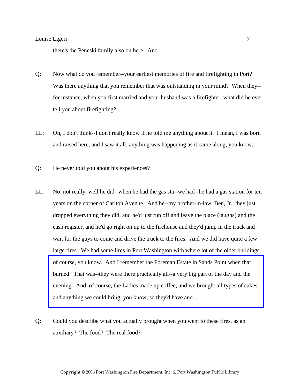there's the Peneski family also on here. And ...

- Q: Now what do you remember--your earliest memories of fire and firefighting in Port? Was there anything that you remember that was outstanding in your mind? When they- for instance, when you first married and your husband was a firefighter, what did he ever tell you about firefighting?
- LL: Oh, I don't think--I don't really know if he told me anything about it. I mean, I was born and raised here, and I saw it all, anything was happening as it came along, you know.
- Q: He never told you about his experiences?
- LL: No, not really, well he did--when he had the gas sta--we had--he had a gas station for ten years on the corner of Carlton Avenue. And he--my brother-in-law, Ben, Jr., they just dropped everything they did, and he'd just run off and leave the place (laughs) and the cash register, and he'd go right on up to the firehouse and they'd jump in the truck and wait for the guys to come and drive the truck to the fires. And we did have quite a few large fires. We had some fires in Port Washington with where lot of the older buildings, of course, you know. And I remember the Foreman Estate in Sands Point when that burned. That was--they were there practically all--a very big part of the day and the [evening. And, of course, the Ladies made up coffee, and we brought all types of cakes](http://www.pwfdhistory.com/trans/ligeril_trans/news_hewitt_1939-11_web.jpg)  and anything we could bring, you know, so they'd have and ...
- Q: Could you describe what you actually brought when you went to these fires, as an auxiliary? The food? The real food?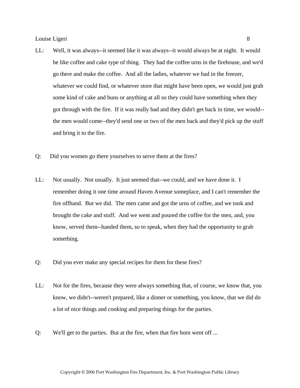- LL: Well, it was always--it seemed like it was always--it would always be at night. It would be like coffee and cake type of thing. They had the coffee urns in the firehouse, and we'd go there and make the coffee. And all the ladies, whatever we had in the freezer, whatever we could find, or whatever store that might have been open, we would just grab some kind of cake and buns or anything at all so they could have something when they got through with the fire. If it was really bad and they didn't get back in time, we would- the men would come--they'd send one or two of the men back and they'd pick up the stuff and bring it to the fire.
- Q: Did you women go there yourselves to serve them at the fires?
- LL: Not usually. Not usually. It just seemed that--we could, and we have done it. I remember doing it one time around Haven Avenue someplace, and I can't remember the fire offhand. But we did. The men came and got the urns of coffee, and we took and brought the cake and stuff. And we went and poured the coffee for the men, and, you know, served them--handed them, so to speak, when they had the opportunity to grab something.
- Q: Did you ever make any special recipes for them for these fires?
- LL: Not for the fires, because they were always something that, of course, we know that, you know, we didn't--weren't prepared, like a dinner or something, you know, that we did do a lot of nice things and cooking and preparing things for the parties.
- Q: We'll get to the parties. But at the fire, when that fire horn went off ...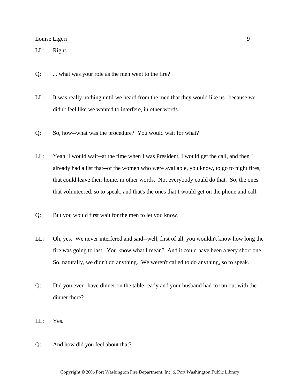LL: Right.

- Q: ... what was your role as the men went to the fire?
- LL: It was really nothing until we heard from the men that they would like us--because we didn't feel like we wanted to interfere, in other words.
- Q: So, how--what was the procedure? You would wait for what?
- LL: Yeah, I would wait--at the time when I was President, I would get the call, and then I already had a list that--of the women who were available, you know, to go to night fires, that could leave their home, in other words. Not everybody could do that. So, the ones that volunteered, so to speak, and that's the ones that I would get on the phone and call.
- Q: But you would first wait for the men to let you know.
- LL: Oh, yes. We never interfered and said--well, first of all, you wouldn't know how long the fire was going to last. You know what I mean? And it could have been a very short one. So, naturally, we didn't do anything. We weren't called to do anything, so to speak.
- Q: Did you ever--have dinner on the table ready and your husband had to run out with the dinner there?
- LL: Yes.
- Q: And how did you feel about that?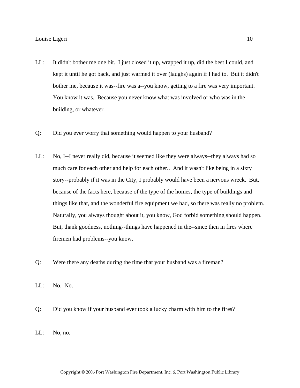- LL: It didn't bother me one bit. I just closed it up, wrapped it up, did the best I could, and kept it until he got back, and just warmed it over (laughs) again if I had to. But it didn't bother me, because it was--fire was a--you know, getting to a fire was very important. You know it was. Because you never know what was involved or who was in the building, or whatever.
- Q: Did you ever worry that something would happen to your husband?
- LL: No, I--I never really did, because it seemed like they were always--they always had so much care for each other and help for each other.. And it wasn't like being in a sixty story--probably if it was in the City, I probably would have been a nervous wreck. But, because of the facts here, because of the type of the homes, the type of buildings and things like that, and the wonderful fire equipment we had, so there was really no problem. Naturally, you always thought about it, you know, God forbid something should happen. But, thank goodness, nothing--things have happened in the--since then in fires where firemen had problems--you know.
- Q: Were there any deaths during the time that your husband was a fireman?
- LL: No. No.
- Q: Did you know if your husband ever took a lucky charm with him to the fires?
- LL: No, no.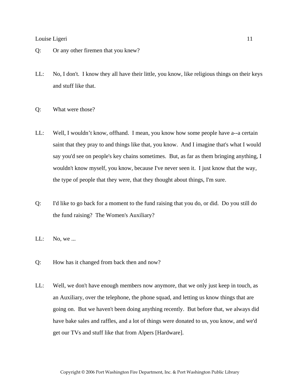- Q: Or any other firemen that you knew?
- LL: No, I don't. I know they all have their little, you know, like religious things on their keys and stuff like that.
- Q: What were those?
- LL: Well, I wouldn't know, offhand. I mean, you know how some people have a--a certain saint that they pray to and things like that, you know. And I imagine that's what I would say you'd see on people's key chains sometimes. But, as far as them bringing anything, I wouldn't know myself, you know, because I've never seen it. I just know that the way, the type of people that they were, that they thought about things, I'm sure.
- Q: I'd like to go back for a moment to the fund raising that you do, or did. Do you still do the fund raising? The Women's Auxiliary?
- LL: No, we ...
- Q: How has it changed from back then and now?
- LL: Well, we don't have enough members now anymore, that we only just keep in touch, as an Auxiliary, over the telephone, the phone squad, and letting us know things that are going on. But we haven't been doing anything recently. But before that, we always did have bake sales and raffles, and a lot of things were donated to us, you know, and we'd get our TVs and stuff like that from Alpers [Hardware].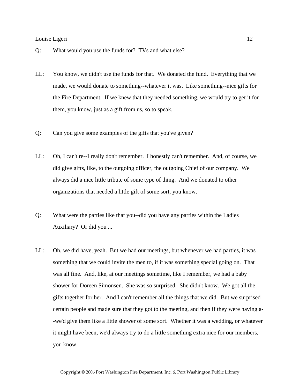- Q: What would you use the funds for? TVs and what else?
- LL: You know, we didn't use the funds for that. We donated the fund. Everything that we made, we would donate to something--whatever it was. Like something--nice gifts for the Fire Department. If we knew that they needed something, we would try to get it for them, you know, just as a gift from us, so to speak.
- Q: Can you give some examples of the gifts that you've given?
- LL: Oh, I can't re--I really don't remember. I honestly can't remember. And, of course, we did give gifts, like, to the outgoing officer, the outgoing Chief of our company. We always did a nice little tribute of some type of thing. And we donated to other organizations that needed a little gift of some sort, you know.
- Q: What were the parties like that you--did you have any parties within the Ladies Auxiliary? Or did you ...
- LL: Oh, we did have, yeah. But we had our meetings, but whenever we had parties, it was something that we could invite the men to, if it was something special going on. That was all fine. And, like, at our meetings sometime, like I remember, we had a baby shower for Doreen Simonsen. She was so surprised. She didn't know. We got all the gifts together for her. And I can't remember all the things that we did. But we surprised certain people and made sure that they got to the meeting, and then if they were having a- -we'd give them like a little shower of some sort. Whether it was a wedding, or whatever it might have been, we'd always try to do a little something extra nice for our members, you know.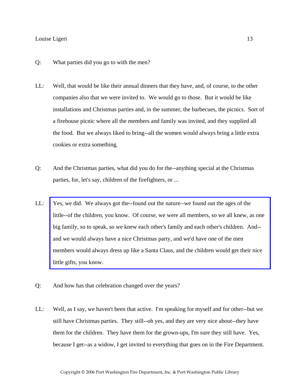- Q: What parties did you go to with the men?
- LL: Well, that would be like their annual dinners that they have, and, of course, to the other companies also that we were invited to. We would go to those. But it would be like installations and Christmas parties and, in the summer, the barbecues, the picnics. Sort of a firehouse picnic where all the members and family was invited, and they supplied all the food. But we always liked to bring--all the women would always bring a little extra cookies or extra something.
- Q: And the Christmas parties, what did you do for the--anything special at the Christmas parties, for, let's say, children of the firefighters, or ...
- LL: Yes, we did. We always got the--found out the nature--we found out the ages of the [little--of the children, you know. Of course, we were all members, so we all knew, as one](http://www.pwfdhistory.com/trans/ligeril_trans/peco_members039_web.jpg)  big family, so to speak, so we knew each other's family and each other's children. And- and we would always have a nice Christmas party, and we'd have one of the men members would always dress up like a Santa Claus, and the children would get their nice little gifts, you know.
- Q: And how has that celebration changed over the years?
- LL: Well, as I say, we haven't been that active. I'm speaking for myself and for other--but we still have Christmas parties. They still--oh yes, and they are very nice about--they have them for the children. They have them for the grown-ups, I'm sure they still have. Yes, because I get--as a widow, I get invited to everything that goes on in the Fire Department.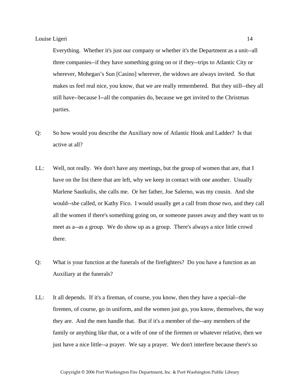Everything. Whether it's just our company or whether it's the Department as a unit--all three companies--if they have something going on or if they--trips to Atlantic City or wherever, Mohegan's Sun [Casino] wherever, the widows are always invited. So that makes us feel real nice, you know, that we are really remembered. But they still--they all still have--because I--all the companies do, because we get invited to the Christmas parties.

- Q: So how would you describe the Auxiliary now of Atlantic Hook and Ladder? Is that active at all?
- LL: Well, not really. We don't have any meetings, but the group of women that are, that I have on the list there that are left, why we keep in contact with one another. Usually Marlene Sautkulis, she calls me. Or her father, Joe Salerno, was my cousin. And she would--she called, or Kathy Fico. I would usually get a call from those two, and they call all the women if there's something going on, or someone passes away and they want us to meet as a--as a group. We do show up as a group. There's always a nice little crowd there.
- Q: What is your function at the funerals of the firefighters? Do you have a function as an Auxiliary at the funerals?
- LL: It all depends. If it's a fireman, of course, you know, then they have a special--the firemen, of course, go in uniform, and the women just go, you know, themselves, the way they are. And the men handle that. But if it's a member of the--any members of the family or anything like that, or a wife of one of the firemen or whatever relative, then we just have a nice little--a prayer. We say a prayer. We don't interfere because there's so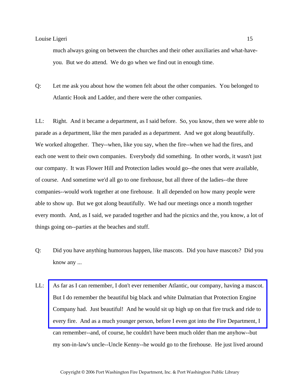much always going on between the churches and their other auxiliaries and what-haveyou. But we do attend. We do go when we find out in enough time.

Q: Let me ask you about how the women felt about the other companies. You belonged to Atlantic Hook and Ladder, and there were the other companies.

LL: Right. And it became a department, as I said before. So, you know, then we were able to parade as a department, like the men paraded as a department. And we got along beautifully. We worked altogether. They--when, like you say, when the fire--when we had the fires, and each one went to their own companies. Everybody did something. In other words, it wasn't just our company. It was Flower Hill and Protection ladies would go--the ones that were available, of course. And sometime we'd all go to one firehouse, but all three of the ladies--the three companies--would work together at one firehouse. It all depended on how many people were able to show up. But we got along beautifully. We had our meetings once a month together every month. And, as I said, we paraded together and had the picnics and the, you know, a lot of things going on--parties at the beaches and stuff.

- Q: Did you have anything humorous happen, like mascots. Did you have mascots? Did you know any ...
- LL: [As far as I can remember, I don't ever remember Atlantic, our company, having a mascot.](http://www.pwfdhistory.com/trans/ligeril_trans/peco_smokey003.jpg)  But I do remember the beautiful big black and white Dalmatian that Protection Engine Company had. Just beautiful! And he would sit up high up on that fire truck and ride to every fire. And as a much younger person, before I even got into the Fire Department, I can remember--and, of course, he couldn't have been much older than me anyhow--but my son-in-law's uncle--Uncle Kenny--he would go to the firehouse. He just lived around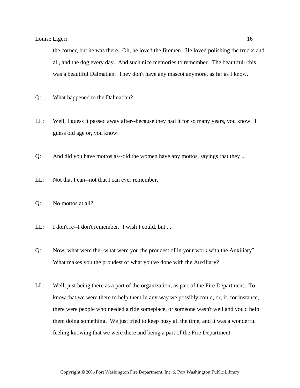the corner, but he was there. Oh, he loved the firemen. He loved polishing the trucks and all, and the dog every day. And such nice memories to remember. The beautiful--this was a beautiful Dalmatian. They don't have any mascot anymore, as far as I know.

- Q: What happened to the Dalmatian?
- LL: Well, I guess it passed away after--because they had it for so many years, you know. I guess old age or, you know.
- Q: And did you have mottos as--did the women have any mottos, sayings that they ...
- LL: Not that I can--not that I can ever remember.
- Q: No mottos at all?
- LL: I don't re--I don't remember. I wish I could, but ...
- Q: Now, what were the--what were you the proudest of in your work with the Auxiliary? What makes you the proudest of what you've done with the Auxiliary?
- LL: Well, just being there as a part of the organization, as part of the Fire Department. To know that we were there to help them in any way we possibly could, or, if, for instance, there were people who needed a ride someplace, or someone wasn't well and you'd help them doing something. We just tried to keep busy all the time, and it was a wonderful feeling knowing that we were there and being a part of the Fire Department.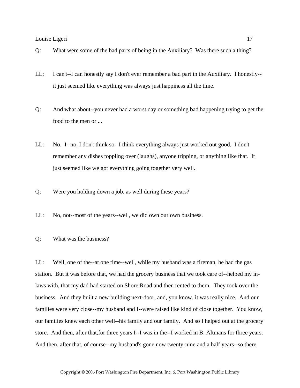- Q: What were some of the bad parts of being in the Auxiliary? Was there such a thing?
- LL: I can't--I can honestly say I don't ever remember a bad part in the Auxiliary. I honestly- it just seemed like everything was always just happiness all the time.
- Q: And what about--you never had a worst day or something bad happening trying to get the food to the men or ...
- LL: No. I--no, I don't think so. I think everything always just worked out good. I don't remember any dishes toppling over (laughs), anyone tripping, or anything like that. It just seemed like we got everything going together very well.
- Q: Were you holding down a job, as well during these years?
- LL: No, not--most of the years--well, we did own our own business.
- Q: What was the business?

LL: Well, one of the--at one time--well, while my husband was a fireman, he had the gas station. But it was before that, we had the grocery business that we took care of--helped my inlaws with, that my dad had started on Shore Road and then rented to them. They took over the business. And they built a new building next-door, and, you know, it was really nice. And our families were very close--my husband and I--were raised like kind of close together. You know, our families knew each other well--his family and our family. And so I helped out at the grocery store. And then, after that,for three years I--I was in the--I worked in B. Altmans for three years. And then, after that, of course--my husband's gone now twenty-nine and a half years--so there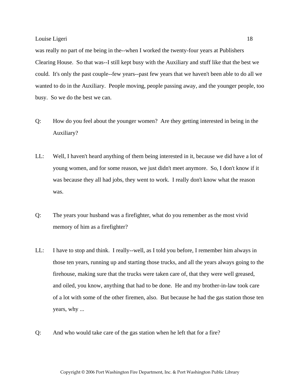was really no part of me being in the--when I worked the twenty-four years at Publishers Clearing House. So that was--I still kept busy with the Auxiliary and stuff like that the best we could. It's only the past couple--few years--past few years that we haven't been able to do all we wanted to do in the Auxiliary. People moving, people passing away, and the younger people, too busy. So we do the best we can.

- Q: How do you feel about the younger women? Are they getting interested in being in the Auxiliary?
- LL: Well, I haven't heard anything of them being interested in it, because we did have a lot of young women, and for some reason, we just didn't meet anymore. So, I don't know if it was because they all had jobs, they went to work. I really don't know what the reason was.
- Q: The years your husband was a firefighter, what do you remember as the most vivid memory of him as a firefighter?
- LL: I have to stop and think. I really--well, as I told you before, I remember him always in those ten years, running up and starting those trucks, and all the years always going to the firehouse, making sure that the trucks were taken care of, that they were well greased, and oiled, you know, anything that had to be done. He and my brother-in-law took care of a lot with some of the other firemen, also. But because he had the gas station those ten years, why ...
- Q: And who would take care of the gas station when he left that for a fire?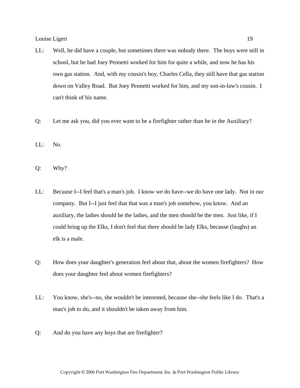- LL: Well, he did have a couple, but sometimes there was nobody there. The boys were still in school, but he had Joey Pennetti worked for him for quite a while, and now he has his own gas station. And, with my cousin's boy, Charles Cella, they still have that gas station down on Valley Road. But Joey Pennetti worked for him, and my son-in-law's cousin. I can't think of his name.
- Q: Let me ask you, did you ever want to be a firefighter rather than be in the Auxiliary?
- LL: No.
- Q: Why?
- LL: Because I--I feel that's a man's job. I know we do have--we do have one lady. Not in our company. But I--I just feel that that was a man's job somehow, you know. And an auxiliary, the ladies should be the ladies, and the men should be the men. Just like, if I could bring up the Elks, I don't feel that there should be lady Elks, because (laughs) an elk is a male.
- Q: How does your daughter's generation feel about that, about the women firefighters? How does your daughter feel about women firefighters?
- LL: You know, she's--no, she wouldn't be interested, because she--she feels like I do. That's a man's job to do, and it shouldn't be taken away from him.
- Q: And do you have any boys that are firefighter?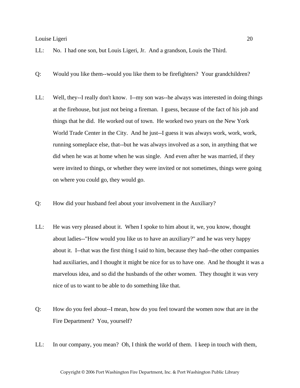- LL: No. I had one son, but Louis Ligeri, Jr. And a grandson, Louis the Third.
- Q: Would you like them--would you like them to be firefighters? Your grandchildren?
- LL: Well, they--I really don't know. I--my son was--he always was interested in doing things at the firehouse, but just not being a fireman. I guess, because of the fact of his job and things that he did. He worked out of town. He worked two years on the New York World Trade Center in the City. And he just--I guess it was always work, work, work, running someplace else, that--but he was always involved as a son, in anything that we did when he was at home when he was single. And even after he was married, if they were invited to things, or whether they were invited or not sometimes, things were going on where you could go, they would go.
- Q: How did your husband feel about your involvement in the Auxiliary?
- LL: He was very pleased about it. When I spoke to him about it, we, you know, thought about ladies--"How would you like us to have an auxiliary?" and he was very happy about it. I--that was the first thing I said to him, because they had--the other companies had auxiliaries, and I thought it might be nice for us to have one. And he thought it was a marvelous idea, and so did the husbands of the other women. They thought it was very nice of us to want to be able to do something like that.
- Q: How do you feel about--I mean, how do you feel toward the women now that are in the Fire Department? You, yourself?
- LL: In our company, you mean? Oh, I think the world of them. I keep in touch with them,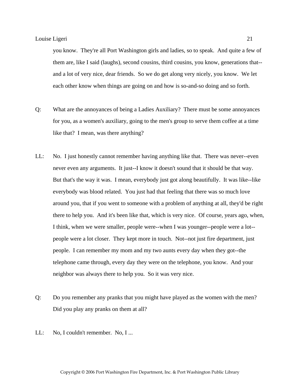you know. They're all Port Washington girls and ladies, so to speak. And quite a few of them are, like I said (laughs), second cousins, third cousins, you know, generations that- and a lot of very nice, dear friends. So we do get along very nicely, you know. We let each other know when things are going on and how is so-and-so doing and so forth.

- Q: What are the annoyances of being a Ladies Auxiliary? There must be some annoyances for you, as a women's auxiliary, going to the men's group to serve them coffee at a time like that? I mean, was there anything?
- LL: No. I just honestly cannot remember having anything like that. There was never--even never even any arguments. It just--I know it doesn't sound that it should be that way. But that's the way it was. I mean, everybody just got along beautifully. It was like--like everybody was blood related. You just had that feeling that there was so much love around you, that if you went to someone with a problem of anything at all, they'd be right there to help you. And it's been like that, which is very nice. Of course, years ago, when, I think, when we were smaller, people were--when I was younger--people were a lot- people were a lot closer. They kept more in touch. Not--not just fire department, just people. I can remember my mom and my two aunts every day when they got--the telephone came through, every day they were on the telephone, you know. And your neighbor was always there to help you. So it was very nice.
- Q: Do you remember any pranks that you might have played as the women with the men? Did you play any pranks on them at all?
- LL: No, I couldn't remember. No, I ...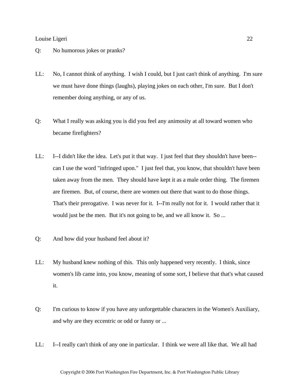#### Q: No humorous jokes or pranks?

- LL: No, I cannot think of anything. I wish I could, but I just can't think of anything. I'm sure we must have done things (laughs), playing jokes on each other, I'm sure. But I don't remember doing anything, or any of us.
- Q: What I really was asking you is did you feel any animosity at all toward women who became firefighters?
- LL: I--I didn't like the idea. Let's put it that way. I just feel that they shouldn't have been- can I use the word "infringed upon." I just feel that, you know, that shouldn't have been taken away from the men. They should have kept it as a male order thing. The firemen are firemen. But, of course, there are women out there that want to do those things. That's their prerogative. I was never for it. I--I'm really not for it. I would rather that it would just be the men. But it's not going to be, and we all know it. So ...
- Q: And how did your husband feel about it?
- LL: My husband knew nothing of this. This only happened very recently. I think, since women's lib came into, you know, meaning of some sort, I believe that that's what caused it.
- Q: I'm curious to know if you have any unforgettable characters in the Women's Auxiliary, and why are they eccentric or odd or funny or ...
- LL: I--I really can't think of any one in particular. I think we were all like that. We all had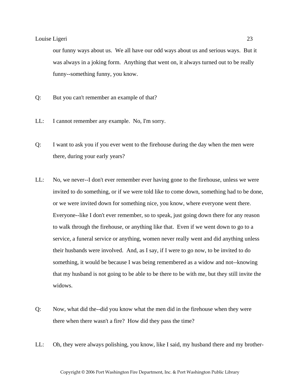our funny ways about us. We all have our odd ways about us and serious ways. But it was always in a joking form. Anything that went on, it always turned out to be really funny--something funny, you know.

- Q: But you can't remember an example of that?
- LL: I cannot remember any example. No, I'm sorry.
- Q: I want to ask you if you ever went to the firehouse during the day when the men were there, during your early years?
- LL: No, we never--I don't ever remember ever having gone to the firehouse, unless we were invited to do something, or if we were told like to come down, something had to be done, or we were invited down for something nice, you know, where everyone went there. Everyone--like I don't ever remember, so to speak, just going down there for any reason to walk through the firehouse, or anything like that. Even if we went down to go to a service, a funeral service or anything, women never really went and did anything unless their husbands were involved. And, as I say, if I were to go now, to be invited to do something, it would be because I was being remembered as a widow and not--knowing that my husband is not going to be able to be there to be with me, but they still invite the widows.
- Q: Now, what did the--did you know what the men did in the firehouse when they were there when there wasn't a fire? How did they pass the time?
- LL: Oh, they were always polishing, you know, like I said, my husband there and my brother-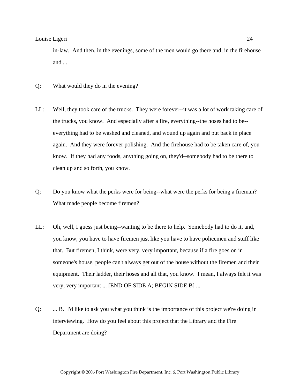in-law. And then, in the evenings, some of the men would go there and, in the firehouse and ...

- Q: What would they do in the evening?
- LL: Well, they took care of the trucks. They were forever--it was a lot of work taking care of the trucks, you know. And especially after a fire, everything--the hoses had to be- everything had to be washed and cleaned, and wound up again and put back in place again. And they were forever polishing. And the firehouse had to be taken care of, you know. If they had any foods, anything going on, they'd--somebody had to be there to clean up and so forth, you know.
- Q: Do you know what the perks were for being--what were the perks for being a fireman? What made people become firemen?
- LL: Oh, well, I guess just being--wanting to be there to help. Somebody had to do it, and, you know, you have to have firemen just like you have to have policemen and stuff like that. But firemen, I think, were very, very important, because if a fire goes on in someone's house, people can't always get out of the house without the firemen and their equipment. Their ladder, their hoses and all that, you know. I mean, I always felt it was very, very important ... [END OF SIDE A; BEGIN SIDE B] ...
- Q: ... B. I'd like to ask you what you think is the importance of this project we're doing in interviewing. How do you feel about this project that the Library and the Fire Department are doing?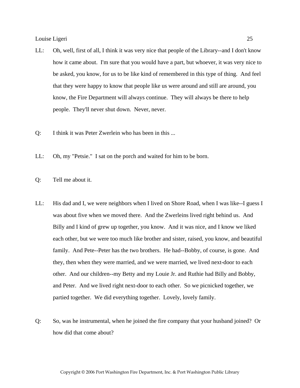- LL: Oh, well, first of all, I think it was very nice that people of the Library--and I don't know how it came about. I'm sure that you would have a part, but whoever, it was very nice to be asked, you know, for us to be like kind of remembered in this type of thing. And feel that they were happy to know that people like us were around and still are around, you know, the Fire Department will always continue. They will always be there to help people. They'll never shut down. Never, never.
- Q: I think it was Peter Zwerlein who has been in this ...
- LL: Oh, my "Petsie." I sat on the porch and waited for him to be born.
- Q: Tell me about it.
- LL: His dad and I, we were neighbors when I lived on Shore Road, when I was like--I guess I was about five when we moved there. And the Zwerleins lived right behind us. And Billy and I kind of grew up together, you know. And it was nice, and I know we liked each other, but we were too much like brother and sister, raised, you know, and beautiful family. And Pete--Peter has the two brothers. He had--Bobby, of course, is gone. And they, then when they were married, and we were married, we lived next-door to each other. And our children--my Betty and my Louie Jr. and Ruthie had Billy and Bobby, and Peter. And we lived right next-door to each other. So we picnicked together, we partied together. We did everything together. Lovely, lovely family.
- Q: So, was he instrumental, when he joined the fire company that your husband joined? Or how did that come about?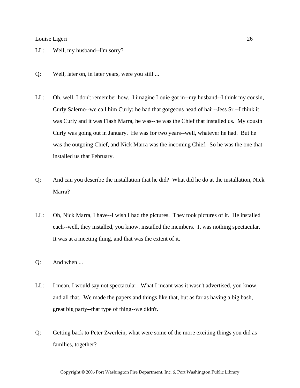- LL: Well, my husband--I'm sorry?
- Q: Well, later on, in later years, were you still ...
- LL: Oh, well, I don't remember how. I imagine Louie got in--my husband--I think my cousin, Curly Salerno--we call him Curly; he had that gorgeous head of hair--Jess Sr.--I think it was Curly and it was Flash Marra, he was--he was the Chief that installed us. My cousin Curly was going out in January. He was for two years--well, whatever he had. But he was the outgoing Chief, and Nick Marra was the incoming Chief. So he was the one that installed us that February.
- Q: And can you describe the installation that he did? What did he do at the installation, Nick Marra?
- LL: Oh, Nick Marra, I have--I wish I had the pictures. They took pictures of it. He installed each--well, they installed, you know, installed the members. It was nothing spectacular. It was at a meeting thing, and that was the extent of it.
- Q: And when ...
- LL: I mean, I would say not spectacular. What I meant was it wasn't advertised, you know, and all that. We made the papers and things like that, but as far as having a big bash, great big party--that type of thing--we didn't.
- Q: Getting back to Peter Zwerlein, what were some of the more exciting things you did as families, together?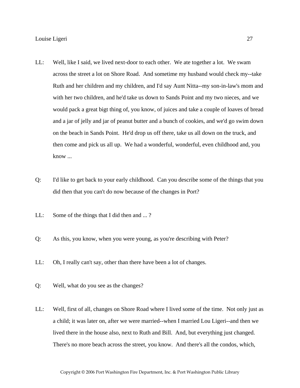- LL: Well, like I said, we lived next-door to each other. We ate together a lot. We swam across the street a lot on Shore Road. And sometime my husband would check my--take Ruth and her children and my children, and I'd say Aunt Nitta--my son-in-law's mom and with her two children, and he'd take us down to Sands Point and my two nieces, and we would pack a great bigt thing of, you know, of juices and take a couple of loaves of bread and a jar of jelly and jar of peanut butter and a bunch of cookies, and we'd go swim down on the beach in Sands Point. He'd drop us off there, take us all down on the truck, and then come and pick us all up. We had a wonderful, wonderful, even childhood and, you know ...
- Q: I'd like to get back to your early childhood. Can you describe some of the things that you did then that you can't do now because of the changes in Port?
- LL: Some of the things that I did then and ... ?
- Q: As this, you know, when you were young, as you're describing with Peter?
- LL: Oh, I really can't say, other than there have been a lot of changes.
- Q: Well, what do you see as the changes?
- LL: Well, first of all, changes on Shore Road where I lived some of the time. Not only just as a child; it was later on, after we were married--when I married Lou Ligeri--and then we lived there in the house also, next to Ruth and Bill. And, but everything just changed. There's no more beach across the street, you know. And there's all the condos, which,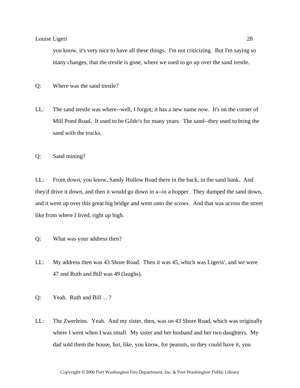you know, it's very nice to have all these things. I'm not criticizing. But I'm saying so many changes, that the trestle is gone, where we used to go up over the sand trestle.

Q: Where was the sand trestle?

LL: The sand trestle was where--well, I forgot; it has a new name now. It's on the corner of Mill Pond Road. It used to be Gildo's for many years. The sand--they used to bring the sand with the trucks.

Q: Sand mining?

LL: From down, you know, Sandy Hollow Road there in the back, in the sand bank. And they'd drive it down, and then it would go down in a--in a hopper. They dumped the sand down, and it went up over this great big bridge and went onto the scows. And that was across the street like from where I lived, right up high.

- Q: What was your address then?
- LL: My address then was 43 Shore Road. Then it was 45, which was Ligeris', and we were 47 and Ruth and Bill was 49 (laughs).
- Q: Yeah. Ruth and Bill ... ?
- LL: The Zwerleins. Yeah. And my sister, then, was on 43 Shore Road, which was originally where I went when I was small. My sister and her husband and her two daughters. My dad sold them the house, but, like, you know, for peanuts, so they could have it, you